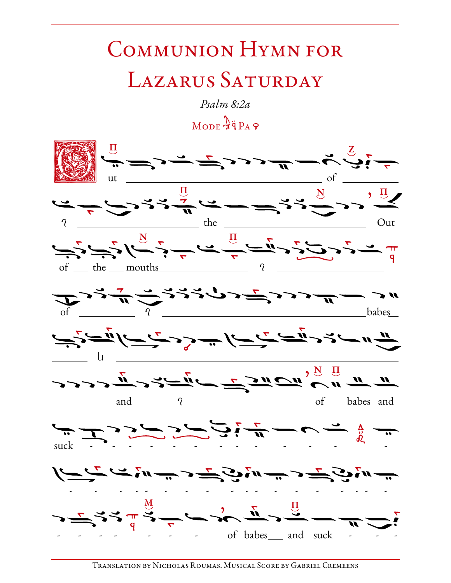## COMMUNION HYMN FOR LAZARUS SATURDAY

Psalm 8:2a  $M$ ODE  $\pi$ <sup>3</sup> PA 9

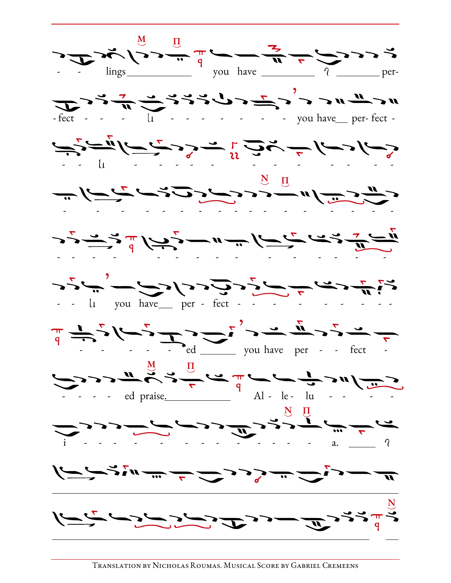

Translation by Nicholas Roumas. Musical Score by Gabriel Cremeens